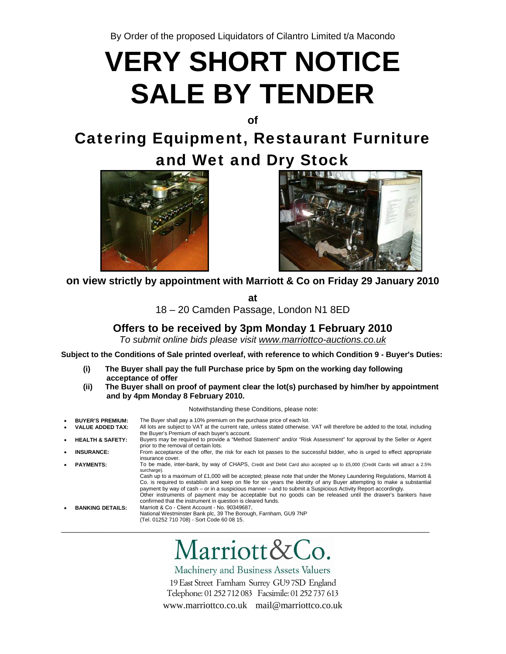By Order of the proposed Liquidators of Cilantro Limited t/a Macondo

# **VERY SHORT NOTICE SALE BY TENDER**

**of** 

Catering Equipment, Restaurant Furniture and Wet and Dry Stock





**on view strictly by appointment with Marriott & Co on Friday 29 January 2010** 

**at** 

18 – 20 Camden Passage, London N1 8ED

### **Offers to be received by 3pm Monday 1 February 2010**

*To submit online bids please visit www.marriottco-auctions.co.uk*

**Subject to the Conditions of Sale printed overleaf, with reference to which Condition 9 - Buyer's Duties:** 

- **(i) The Buyer shall pay the full Purchase price by 5pm on the working day following acceptance of offer**
- **(ii) The Buyer shall on proof of payment clear the lot(s) purchased by him/her by appointment and by 4pm Monday 8 February 2010.**

#### Notwithstanding these Conditions, please note:

| ٠         | <b>BUYER'S PREMIUM:</b><br><b>VALUE ADDED TAX:</b> | The Buyer shall pay a 10% premium on the purchase price of each lot.<br>All lots are subject to VAT at the current rate, unless stated otherwise. VAT will therefore be added to the total, including                                                                                                                                                                                                                                                                                                                                                                                                                                                                                      |
|-----------|----------------------------------------------------|--------------------------------------------------------------------------------------------------------------------------------------------------------------------------------------------------------------------------------------------------------------------------------------------------------------------------------------------------------------------------------------------------------------------------------------------------------------------------------------------------------------------------------------------------------------------------------------------------------------------------------------------------------------------------------------------|
| $\bullet$ | <b>HEALTH &amp; SAFETY:</b>                        | the Buyer's Premium of each buyer's account.<br>Buyers may be required to provide a "Method Statement" and/or "Risk Assessment" for approval by the Seller or Agent<br>prior to the removal of certain lots.                                                                                                                                                                                                                                                                                                                                                                                                                                                                               |
|           | <b>INSURANCE:</b>                                  | From acceptance of the offer, the risk for each lot passes to the successful bidder, who is urged to effect appropriate<br>insurance cover.                                                                                                                                                                                                                                                                                                                                                                                                                                                                                                                                                |
|           | <b>PAYMENTS:</b>                                   | To be made, inter-bank, by way of CHAPS, Credit and Debit Card also accepted up to £5,000 (Credit Cards will attract a 2.5%<br>surcharge).<br>Cash up to a maximum of £1,000 will be accepted; please note that under the Money Laundering Regulations, Marriott &<br>Co. is required to establish and keep on file for six years the identity of any Buyer attempting to make a substantial<br>payment by way of cash – or in a suspicious manner – and to submit a Suspicious Activity Report accordingly.<br>Other instruments of payment may be acceptable but no goods can be released until the drawer's bankers have<br>confirmed that the instrument in question is cleared funds. |
|           | <b>BANKING DETAILS:</b>                            | Marriott & Co - Client Account - No. 90349687.<br>National Westminster Bank plc, 39 The Borough, Farnham, GU9 7NP<br>(Tel. 01252 710 708) - Sort Code 60 08 15.                                                                                                                                                                                                                                                                                                                                                                                                                                                                                                                            |

# Marriott&Co.

Machinery and Business Assets Valuers

19 East Street Farnham Surrey GU97SD England Telephone: 01 252 712 083 Facsimile: 01 252 737 613 www.marriottco.co.uk mail@marriottco.co.uk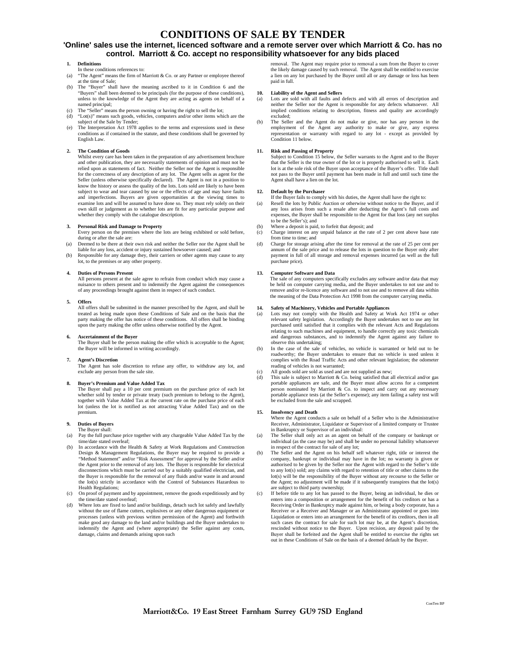### **CONDITIONS OF SALE BY TENDER**

#### **'Online' sales use the internet, licenced software and a remote server over which Marriott & Co. has no control. Marriott & Co. accept no responsibility whatsoever for any bids placed**

#### **1. Definitions**

- In these conditions references to:
- "The Agent" means the firm of Marriott & Co. or any Partner or employee thereof
- at the time of Sale; (b) The "Buyer" shall have the meaning ascribed to it in Condition 6 and the "Buyers" shall been deemed to be principals (for the purpose of these conditions), unless to the knowledge of the Agent they are acting as agents on behalf of a
- named principal; The "Seller" means the person owning or having the right to sell the lot; (d) "Lot(s)" means such goods, vehicles, computers and/or other items which are the
- subject of the Sale by Tender; (e) The Interpretation Act 1978 applies to the terms and expressions used in these conditions as if contained in the statute, and these conditions shall be governed by English Law.

#### **2. The Condition of Goods**

Whilst every care has been taken in the preparation of any advertisement brochure and other publication, they are necessarily statements of opinion and must not be relied upon as statements of fact. Neither the Seller nor the Agent is responsible for the correctness of any description of any lot. The Agent sells as agent for the Seller (unless otherwise specifically declared). The Agent is not in a position to know the history or assess the quality of the lots. Lots sold are likely to have been subject to wear and tear caused by use or the effects of age and may have faults and imperfections. Buyers are given opportunities at the viewing times to examine lots and will be assumed to have done so. They must rely solely on their own skill or judgement as to whether lots are fit for any particular purpose and whether they comply with the catalogue description.

#### **3. Personal Risk and Damage to Property**

Every person on the premises where the lots are being exhibited or sold before, during or after the sale are:

- (a) Deemed to be there at their own risk and neither the Seller nor the Agent shall be liable for any loss, accident or injury sustained howsoever caused; and (b) Responsible for any damage they, their carriers or other agents may cause to any
- lot, to the premises or any other property.

#### **4. Duties of Persons Present**

All persons present at the sale agree to refrain from conduct which may cause a nuisance to others present and to indemnify the Agent against the consequences of any proceedings brought against them in respect of such conduct.

#### **5. Offers**

All offers shall be submitted in the manner prescribed by the Agent, and shall be treated as being made upon these Conditions of Sale and on the basis that the party making the offer has notice of these conditions. All offers shall be binding upon the party making the offer unless otherwise notified by the Agent.

#### **6. Ascertainment of the Buyer**

The Buyer shall be the person making the offer which is acceptable to the Agent; the Buyer will be informed in writing accordingly.

#### **7. Agent's Discretion**

The Agent has sole discretion to refuse any offer, to withdraw any lot, and exclude any person from the sale site.

#### **8. Buyer's Premium and Value Added Tax**

The Buyer shall pay a 10 per cent premium on the purchase price of each lot whether sold by tender or private treaty (such premium to belong to the Agent), together with Value Added Tax at the current rate on the purchase price of each lot (unless the lot is notified as not attracting Value Added Tax) and on the premium.

#### **9. Duties of Buyers**

- The Buyer shall:<br>(a) Pay the full purc Pay the full purchase price together with any chargeable Value Added Tax by the time/date stated overleaf;
- (b) In accordance with the Health & Safety at Work Regulations and Construction Design & Management Regulations, the Buyer may be required to provide a "Method Statement" and/or "Risk Assessment" for approval by the Seller and/or the Agent prior to the removal of any lots. The Buyer is responsible for electrical disconnections which must be carried out by a suitably qualified electrician, and the Buyer is responsible for the removal of any fluids and/or waste in and around the lot(s) strictly in accordance with the Control of Substances Hazardous to Health Regulations;
- (c) On proof of payment and by appointment, remove the goods expeditiously and by the time/date stated overleaf;
- Where lots are fixed to land and/or buildings, detach such lot safely and lawfully without the use of flame cutters, explosives or any other dangerous equipment or processes (unless with previous written permission of the Agent) and forthwith make good any damage to the land and/or buildings and the Buyer undertakes to indemnify the Agent and (where appropriate) the Seller against any costs, damage, claims and demands arising upon such

removal. The Agent may require prior to removal a sum from the Buyer to cover the likely damage caused by such removal. The Agent shall be entitled to exercise a lien on any lot purchased by the Buyer until all or any damage or loss has been paid in full.

#### **10. Liability of the Agent and Sellers**

- (a) Lots are sold with all faults and defects and with all errors of description and neither the Seller nor the Agent is responsible for any defects whatsoever. All implied conditions relating to description, fitness and quality are accordingly excluded;
- (b) The Seller and the Agent do not make or give, nor has any person in the employment of the Agent any authority to make or give, any express representation or warranty with regard to any lot - except as provided by Condition 11 below

**11. Risk and Passing of Property**  Subject to Condition 15 below, the Seller warrants to the Agent and to the Buyer that the Seller is the true owner of the lot or is properly authorised to sell it. Each lot is at the sole risk of the Buyer upon acceptance of the Buyer's offer. Title shall not pass to the Buyer until payment has been made in full and until such time the Agent shall have a lien on the lot.

#### **12. Default by the Purchaser**

- If the Buyer fails to comply with his duties, the Agent shall have the right to: (a) Resell the lots by Public Auction or otherwise without notice to the Buyer, and if
- any loss arises from such a resale after deducting the Agent's full costs and expenses, the Buyer shall be responsible to the Agent for that loss (any net surplus to be the Seller's); and
- (b) Where a deposit is paid, to forfeit that deposit; and
- (c) Charge interest on any unpaid balance at the rate of 2 per cent above base rate from time to time; and
- (d) Charge for storage arising after the time for removal at the rate of 25 per cent per annum of the sale price and to release the lots in question to the Buyer only after payment in full of all storage and removal expenses incurred (as well as the full purchase price).

#### **13. Computer Software and Data**

The sale of any computers specifically excludes any software and/or data that may be held on computer carrying media, and the Buyer undertakes to not use and to remove and/or re-licence any software and to not use and to remove all data within the meaning of the Data Protection Act 1998 from the computer carrying media.

#### **14. Safety of Machinery, Vehicles and Portable Appliances**

- (a) Lots may not comply with the Health and Safety at Work Act 1974 or other relevant safety legislation. Accordingly the Buyer undertakes not to use any lot purchased until satisfied that it complies with the relevant Acts and Regulations relating to such machines and equipment, to handle correctly any toxic chemicals and dangerous substances, and to indemnify the Agent against any failure to observe this undertaking;
- (b) In the case of the sale of vehicles, no vehicle is warranted or held out to be roadworthy; the Buyer undertakes to ensure that no vehicle is used unless it complies with the Road Traffic Acts and other relevant legislation; the odometer reading of vehicles is not warranted;
- 
- (c) All goods sold are sold as used and are not supplied as new; (d) This sale is subject to Marriott & Co. being satisfied that all electrical and/or gas portable appliances are safe, and the Buyer must allow access for a competent person nominated by Marriott & Co. to inspect and carry out any necessary portable appliance tests (at the Seller's expense); any item failing a safety test will be excluded from the sale and scrapped.

#### **15. Insolvency and Death**

Where the Agent conducts a sale on behalf of a Seller who is the Administrative Receiver, Administrator, Liquidator or Supervisor of a limited company or Trustee in Bankruptcy or Supervisor of an individual:

- The Seller shall only act as an agent on behalf of the company or bankrupt or individual (as the case may be) and shall be under no personal liability whatsoever in respect of the contract for sale of any lot;
- (b) The Seller and the Agent on his behalf sell whatever right, title or interest the company, bankrupt or individual may have in the lot; no warranty is given or authorised to be given by the Seller nor the Agent with regard to the Seller's title to any lot(s) sold; any claims with regard to retention of title or other claims to the lot(s) will be the responsibility of the Buyer without any recourse to the Seller or the Agent; no adjustment will be made if it subsequently transpires that the lot(s) are subject to third party ownership;
- (c) If before title to any lot has passed to the Buyer, being an individual, he dies or enters into a composition or arrangement for the benefit of his creditors or has a Receiving Order in Bankruptcy made against him, or being a body corporate, has a Receiver or a Receiver and Manager or an Administrator appointed or goes into Liquidation or enters into an arrangement for the benefit of its creditors, then in all such cases the contract for sale for such lot may be, at the Agent's discretion, rescinded without notice to the Buyer. Upon recision, any deposit paid by the Buyer shall be forfeited and the Agent shall be entitled to exercise the rights set out in these Conditions of Sale on the basis of a deemed default by the Buyer.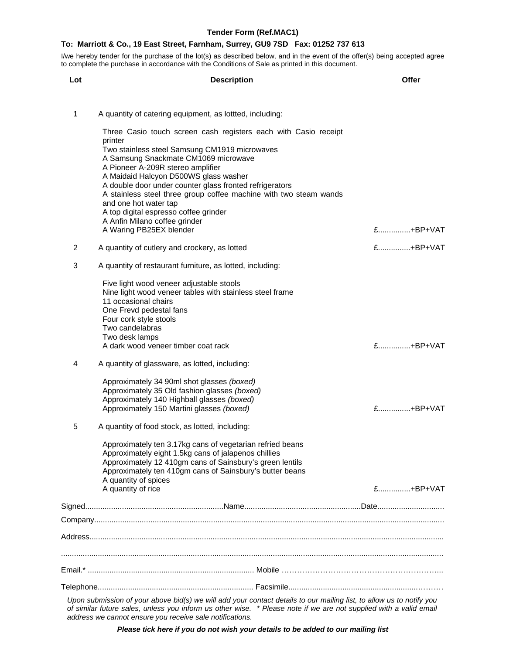I/we hereby tender for the purchase of the lot(s) as described below, and in the event of the offer(s) being accepted agree to complete the purchase in accordance with the Conditions of Sale as printed in this document.

| Lot | <b>Description</b>                                                                                                                                                                                                                        | Offer       |
|-----|-------------------------------------------------------------------------------------------------------------------------------------------------------------------------------------------------------------------------------------------|-------------|
| 1   | A quantity of catering equipment, as lottted, including:                                                                                                                                                                                  |             |
|     | Three Casio touch screen cash registers each with Casio receipt<br>printer                                                                                                                                                                |             |
|     | Two stainless steel Samsung CM1919 microwaves<br>A Samsung Snackmate CM1069 microwave<br>A Pioneer A-209R stereo amplifier                                                                                                                |             |
|     | A Maidaid Halcyon D500WS glass washer<br>A double door under counter glass fronted refrigerators<br>A stainless steel three group coffee machine with two steam wands<br>and one hot water tap                                            |             |
|     | A top digital espresso coffee grinder<br>A Anfin Milano coffee grinder                                                                                                                                                                    |             |
|     | A Waring PB25EX blender                                                                                                                                                                                                                   | £+BP+VAT    |
| 2   | A quantity of cutlery and crockery, as lotted                                                                                                                                                                                             | £+BP+VAT    |
| 3   | A quantity of restaurant furniture, as lotted, including:                                                                                                                                                                                 |             |
|     | Five light wood veneer adjustable stools<br>Nine light wood veneer tables with stainless steel frame<br>11 occasional chairs<br>One Frevd pedestal fans<br>Four cork style stools                                                         |             |
|     | Two candelabras<br>Two desk lamps                                                                                                                                                                                                         |             |
|     | A dark wood veneer timber coat rack                                                                                                                                                                                                       | £+BP+VAT    |
| 4   | A quantity of glassware, as lotted, including:                                                                                                                                                                                            |             |
|     | Approximately 34 90ml shot glasses (boxed)<br>Approximately 35 Old fashion glasses (boxed)<br>Approximately 140 Highball glasses (boxed)                                                                                                  |             |
|     | Approximately 150 Martini glasses (boxed)                                                                                                                                                                                                 | £+BP+VAT    |
| 5   | A quantity of food stock, as lotted, including:                                                                                                                                                                                           |             |
|     | Approximately ten 3.17kg cans of vegetarian refried beans<br>Approximately eight 1.5kg cans of jalapenos chillies<br>Approximately 12 410gm cans of Sainsbury's green lentils<br>Approximately ten 410gm cans of Sainsbury's butter beans |             |
|     | A quantity of spices<br>A quantity of rice                                                                                                                                                                                                | $f$ +BP+VAT |
|     |                                                                                                                                                                                                                                           |             |
|     |                                                                                                                                                                                                                                           |             |
|     |                                                                                                                                                                                                                                           |             |
|     |                                                                                                                                                                                                                                           |             |
|     |                                                                                                                                                                                                                                           |             |
|     |                                                                                                                                                                                                                                           |             |
|     | Upon submission of your above bid(s) we will add your contact details to our mailing list, to allow us to notify you<br>of similar future sales, unless you inform us other wise. * Please note if we are not supplied with a valid email |             |

*Please tick here if you do not wish your details to be added to our mailing list*

*address we cannot ensure you receive sale notifications.*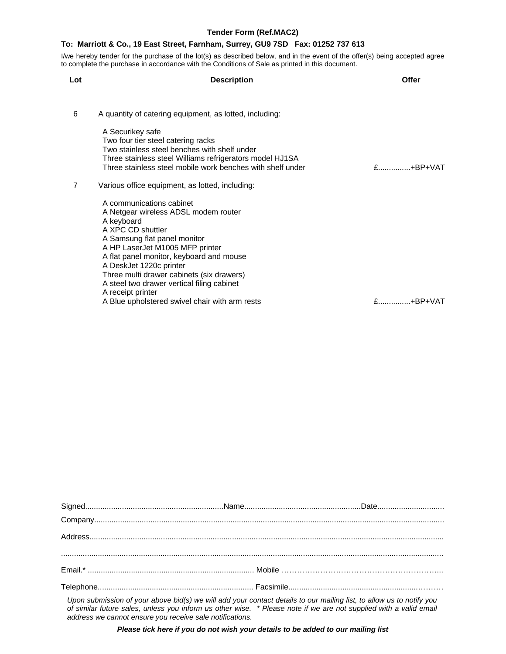I/we hereby tender for the purchase of the lot(s) as described below, and in the event of the offer(s) being accepted agree to complete the purchase in accordance with the Conditions of Sale as printed in this document.

| Lot            | <b>Description</b>                                                                                                                                                                                                                                                                                                                       | Offer       |
|----------------|------------------------------------------------------------------------------------------------------------------------------------------------------------------------------------------------------------------------------------------------------------------------------------------------------------------------------------------|-------------|
|                |                                                                                                                                                                                                                                                                                                                                          |             |
| 6              | A quantity of catering equipment, as lotted, including:                                                                                                                                                                                                                                                                                  |             |
|                | A Securikey safe<br>Two four tier steel catering racks<br>Two stainless steel benches with shelf under<br>Three stainless steel Williams refrigerators model HJ1SA<br>Three stainless steel mobile work benches with shelf under                                                                                                         | $E$ +BP+VAT |
| $\overline{7}$ | Various office equipment, as lotted, including:                                                                                                                                                                                                                                                                                          |             |
|                | A communications cabinet<br>A Netgear wireless ADSL modem router<br>A keyboard<br>A XPC CD shuttler<br>A Samsung flat panel monitor<br>A HP LaserJet M1005 MFP printer<br>A flat panel monitor, keyboard and mouse<br>A DeskJet 1220c printer<br>Three multi drawer cabinets (six drawers)<br>A steel two drawer vertical filing cabinet |             |
|                | A receipt printer<br>A Blue upholstered swivel chair with arm rests                                                                                                                                                                                                                                                                      |             |

| $\begin{minipage}[c]{0.9\linewidth} \textbf{Company} \textit{} \textit{} \textit{} \textit{} \textit{} \textit{} \textit{} \textit{} \textit{} \textit{} \textit{} \textit{} \textit{} \textit{} \textit{} \textit{} \textit{} \textit{} \textit{} \textit{} \textit{} \textit{} \textit{} \textit{} \textit{} \textit{} \textit{} \textit{} \textit{} \textit{} \textit{} \textit{} \textit{}$ |  |
|-------------------------------------------------------------------------------------------------------------------------------------------------------------------------------------------------------------------------------------------------------------------------------------------------------------------------------------------------------------------------------------------------|--|
|                                                                                                                                                                                                                                                                                                                                                                                                 |  |
|                                                                                                                                                                                                                                                                                                                                                                                                 |  |
|                                                                                                                                                                                                                                                                                                                                                                                                 |  |
|                                                                                                                                                                                                                                                                                                                                                                                                 |  |
|                                                                                                                                                                                                                                                                                                                                                                                                 |  |
| Here we have been reference to be a state for will reduce an expected details to remain them that the allowing to methods on $\alpha$                                                                                                                                                                                                                                                           |  |

*Upon submission of your above bid(s) we will add your contact details to our mailing list, to allow us to notify you of similar future sales, unless you inform us other wise. \* Please note if we are not supplied with a valid email address we cannot ensure you receive sale notifications.* 

*Please tick here if you do not wish your details to be added to our mailing list*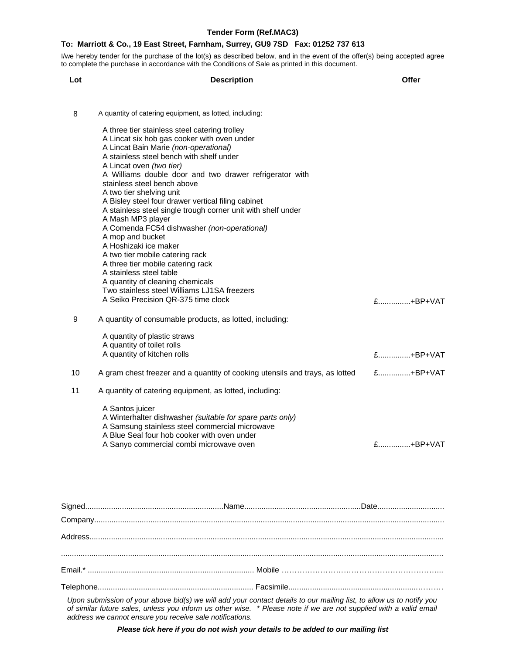I/we hereby tender for the purchase of the lot(s) as described below, and in the event of the offer(s) being accepted agree to complete the purchase in accordance with the Conditions of Sale as printed in this document.

| Lot | <b>Description</b>                                                                                                                                                                                                                                                                                                                                                                                                                                                                                                                                                                                                                                                                                                                                                                                                                                                 | Offer                      |
|-----|--------------------------------------------------------------------------------------------------------------------------------------------------------------------------------------------------------------------------------------------------------------------------------------------------------------------------------------------------------------------------------------------------------------------------------------------------------------------------------------------------------------------------------------------------------------------------------------------------------------------------------------------------------------------------------------------------------------------------------------------------------------------------------------------------------------------------------------------------------------------|----------------------------|
| 8   | A quantity of catering equipment, as lotted, including:<br>A three tier stainless steel catering trolley<br>A Lincat six hob gas cooker with oven under<br>A Lincat Bain Marie (non-operational)<br>A stainless steel bench with shelf under<br>A Lincat oven (two tier)<br>A Williams double door and two drawer refrigerator with<br>stainless steel bench above<br>A two tier shelving unit<br>A Bisley steel four drawer vertical filing cabinet<br>A stainless steel single trough corner unit with shelf under<br>A Mash MP3 player<br>A Comenda FC54 dishwasher (non-operational)<br>A mop and bucket<br>A Hoshizaki ice maker<br>A two tier mobile catering rack<br>A three tier mobile catering rack<br>A stainless steel table<br>A quantity of cleaning chemicals<br>Two stainless steel Williams LJ1SA freezers<br>A Seiko Precision QR-375 time clock | £+BP+VAT                   |
| 9   | A quantity of consumable products, as lotted, including:<br>A quantity of plastic straws<br>A quantity of toilet rolls<br>A quantity of kitchen rolls                                                                                                                                                                                                                                                                                                                                                                                                                                                                                                                                                                                                                                                                                                              | £+BP+VAT                   |
| 10  | A gram chest freezer and a quantity of cooking utensils and trays, as lotted                                                                                                                                                                                                                                                                                                                                                                                                                                                                                                                                                                                                                                                                                                                                                                                       | £+BP+VAT                   |
| 11  | A quantity of catering equipment, as lotted, including:                                                                                                                                                                                                                                                                                                                                                                                                                                                                                                                                                                                                                                                                                                                                                                                                            |                            |
|     | A Santos juicer<br>A Winterhalter dishwasher (suitable for spare parts only)<br>A Samsung stainless steel commercial microwave<br>A Blue Seal four hob cooker with oven under<br>A Sanyo commercial combi microwave oven                                                                                                                                                                                                                                                                                                                                                                                                                                                                                                                                                                                                                                           | $f$ <sub>u</sub> $+BP+VAT$ |

| and the contract of the contract of the contract of the contract of the contract of the contract of the contract of the contract of the contract of the contract of the contract of the contract of the contract of the contra |  |
|--------------------------------------------------------------------------------------------------------------------------------------------------------------------------------------------------------------------------------|--|

*Upon submission of your above bid(s) we will add your contact details to our mailing list, to allow us to notify you of similar future sales, unless you inform us other wise. \* Please note if we are not supplied with a valid email address we cannot ensure you receive sale notifications.* 

*Please tick here if you do not wish your details to be added to our mailing list*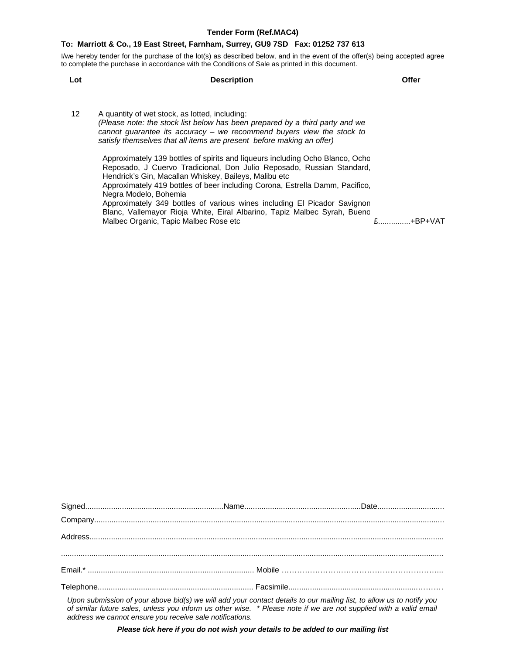I/we hereby tender for the purchase of the lot(s) as described below, and in the event of the offer(s) being accepted agree to complete the purchase in accordance with the Conditions of Sale as printed in this document.

**Lot Description Offer**

12 A quantity of wet stock, as lotted, including: *(Please note: the stock list below has been prepared by a third party and we cannot guarantee its accuracy – we recommend buyers view the stock to satisfy themselves that all items are present before making an offer)* 

> Approximately 139 bottles of spirits and liqueurs including Ocho Blanco, Ocho Reposado, J Cuervo Tradicional, Don Julio Reposado, Russian Standard, Hendrick's Gin, Macallan Whiskey, Baileys, Malibu etc Approximately 419 bottles of beer including Corona, Estrella Damm, Pacifico, Negra Modelo, Bohemia Approximately 349 bottles of various wines including El Picador Savignon Blanc, Vallemayor Rioja White, Eiral Albarino, Tapiz Malbec Syrah, Buenc Malbec Organic, Tapic Malbec Rose etc **Exercise 2018** 2................+BP+VAT

| $\label{eq:comp} \textbf{Company}.\textcolor{red}{\textbf{tempany}.\textcolor{blue}{\textbf{1}}}\textcolor{blue}{\textbf{1}}\textcolor{blue}{\textbf{1}}\textcolor{blue}{\textbf{2}}\textcolor{blue}{\textbf{2}}\textcolor{blue}{\textbf{2}}\textcolor{blue}{\textbf{2}}\textcolor{blue}{\textbf{2}}\textcolor{blue}{\textbf{2}}\textcolor{blue}{\textbf{2}}\textcolor{blue}{\textbf{2}}\textcolor{blue}{\textbf{2}}\textcolor{blue}{\textbf{2}}\textcolor{blue}{\textbf{2}}\textcolor{blue}{\textbf{2}}\textcolor{blue}{\textbf{2}}\$ |  |  |
|----------------------------------------------------------------------------------------------------------------------------------------------------------------------------------------------------------------------------------------------------------------------------------------------------------------------------------------------------------------------------------------------------------------------------------------------------------------------------------------------------------------------------------------|--|--|
|                                                                                                                                                                                                                                                                                                                                                                                                                                                                                                                                        |  |  |
|                                                                                                                                                                                                                                                                                                                                                                                                                                                                                                                                        |  |  |
|                                                                                                                                                                                                                                                                                                                                                                                                                                                                                                                                        |  |  |
|                                                                                                                                                                                                                                                                                                                                                                                                                                                                                                                                        |  |  |
|                                                                                                                                                                                                                                                                                                                                                                                                                                                                                                                                        |  |  |
| Unan automiación of your chaus hid(a) your will add your contact dataile to ayrenailing liet to allow yo to potificiary                                                                                                                                                                                                                                                                                                                                                                                                                |  |  |

*Upon submission of your above bid(s) we will add your contact details to our mailing list, to allow us to notify you of similar future sales, unless you inform us other wise. \* Please note if we are not supplied with a valid email address we cannot ensure you receive sale notifications.* 

*Please tick here if you do not wish your details to be added to our mailing list*